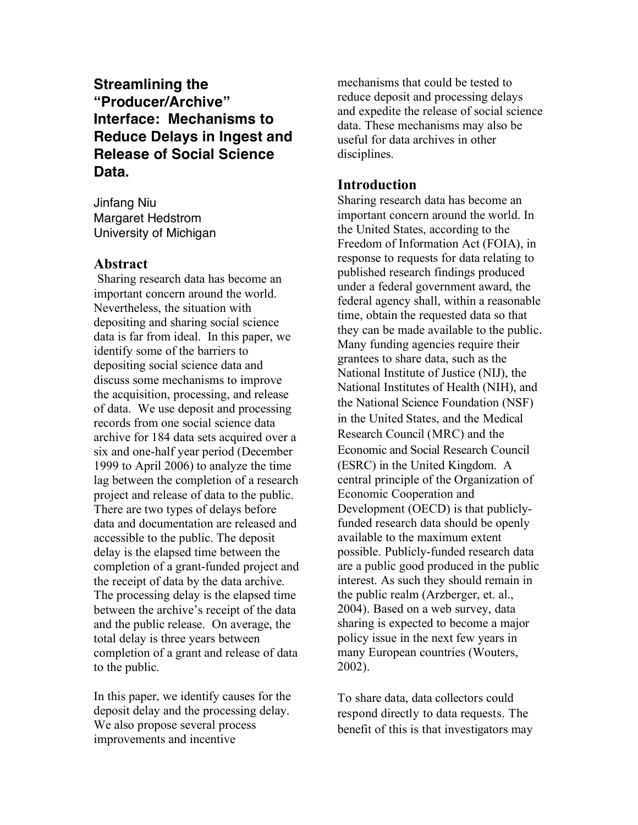**Streamlining the "Producer/Archive" Interface: Mechanisms to Reduce Delays in Ingest and Release of Social Science Data.**

Jinfang Niu Margaret Hedstrom University of Michigan

## **Abstract**

Sharing research data has become an important concern around the world. Nevertheless, the situation with depositing and sharing social science data is far from ideal. In this paper, we identify some of the barriers to depositing social science data and discuss some mechanisms to improve the acquisition, processing, and release of data. We use deposit and processing records from one social science data archive for 184 data sets acquired over a six and one-half year period (December 1999 to April 2006) to analyze the time lag between the completion of a research project and release of data to the public. There are two types of delays before data and documentation are released and accessible to the public. The deposit delay is the elapsed time between the completion of a grant-funded project and the receipt of data by the data archive. The processing delay is the elapsed time between the archive's receipt of the data and the public release. On average, the total delay is three years between completion of a grant and release of data to the public.

In this paper, we identify causes for the deposit delay and the processing delay. We also propose several process improvements and incentive

mechanisms that could be tested to reduce deposit and processing delays and expedite the release of social science data. These mechanisms may also be useful for data archives in other disciplines.

# **Introduction**

Sharing research data has become an important concern around the world. In the United States, according to the Freedom of Information Act (FOIA), in response to requests for data relating to published research findings produced under a federal government award, the federal agency shall, within a reasonable time, obtain the requested data so that they can be made available to the public. Many funding agencies require their grantees to share data, such as the National Institute of Justice (NIJ), the National Institutes of Health (NIH), and the National Science Foundation (NSF) in the United States, and the Medical Research Council (MRC) and the Economic and Social Research Council (ESRC) in the United Kingdom. A central principle of the Organization of Economic Cooperation and Development (OECD) is that publiclyfunded research data should be openly available to the maximum extent possible. Publicly-funded research data are a public good produced in the public interest. As such they should remain in the public realm (Arzberger, et. al., 2004). Based on a web survey, data sharing is expected to become a major policy issue in the next few years in many European countries (Wouters, 2002).

To share data, data collectors could respond directly to data requests. The benefit of this is that investigators may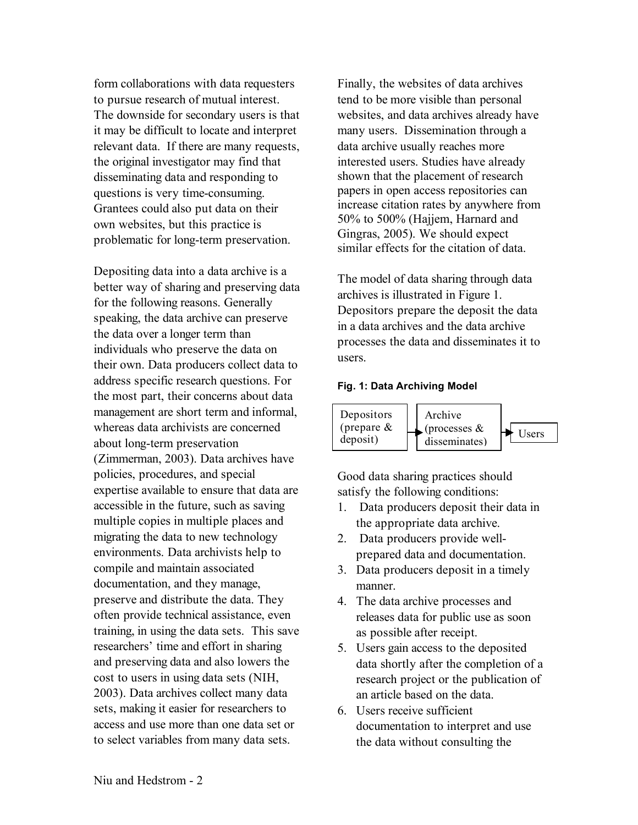form collaborations with data requesters to pursue research of mutual interest. The downside for secondary users is that it may be difficult to locate and interpret relevant data. If there are many requests, the original investigator may find that disseminating data and responding to questions is very time-consuming. Grantees could also put data on their own websites, but this practice is problematic for long-term preservation.

Depositing data into a data archive is a better way of sharing and preserving data for the following reasons. Generally speaking, the data archive can preserve the data over a longer term than individuals who preserve the data on their own. Data producers collect data to address specific research questions. For the most part, their concerns about data management are short term and informal, whereas data archivists are concerned about long-term preservation (Zimmerman, 2003). Data archives have policies, procedures, and special expertise available to ensure that data are accessible in the future, such as saving multiple copies in multiple places and migrating the data to new technology environments. Data archivists help to compile and maintain associated documentation, and they manage, preserve and distribute the data. They often provide technical assistance, even training, in using the data sets. This save researchers' time and effort in sharing and preserving data and also lowers the cost to users in using data sets (NIH, 2003). Data archives collect many data sets, making it easier for researchers to access and use more than one data set or to select variables from many data sets.

Finally, the websites of data archives tend to be more visible than personal websites, and data archives already have many users. Dissemination through a data archive usually reaches more interested users. Studies have already shown that the placement of research papers in open access repositories can increase citation rates by anywhere from 50% to 500% (Hajjem, Harnard and Gingras, 2005). We should expect similar effects for the citation of data.

The model of data sharing through data archives is illustrated in Figure 1. Depositors prepare the deposit the data in a data archives and the data archive processes the data and disseminates it to users.

### **Fig. 1: Data Archiving Model**



Good data sharing practices should satisfy the following conditions:

- 1. Data producers deposit their data in the appropriate data archive.
- 2. Data producers provide wellprepared data and documentation.
- 3. Data producers deposit in a timely manner.
- 4. The data archive processes and releases data for public use as soon as possible after receipt.
- 5. Users gain access to the deposited data shortly after the completion of a research project or the publication of an article based on the data.
- 6. Users receive sufficient documentation to interpret and use the data without consulting the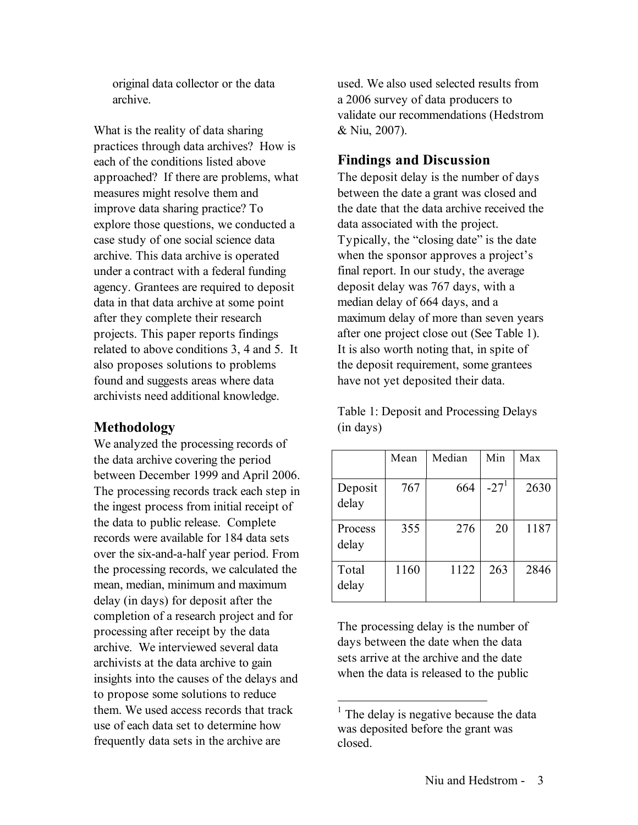original data collector or the data archive.

What is the reality of data sharing practices through data archives? How is each of the conditions listed above approached? If there are problems, what measures might resolve them and improve data sharing practice? To explore those questions, we conducted a case study of one social science data archive. This data archive is operated under a contract with a federal funding agency. Grantees are required to deposit data in that data archive at some point after they complete their research projects. This paper reports findings related to above conditions 3, 4 and 5. It also proposes solutions to problems found and suggests areas where data archivists need additional knowledge.

# **Methodology**

We analyzed the processing records of the data archive covering the period between December 1999 and April 2006. The processing records track each step in the ingest process from initial receipt of the data to public release. Complete records were available for 184 data sets over the six-and-a-half year period. From the processing records, we calculated the mean, median, minimum and maximum delay (in days) for deposit after the completion of a research project and for processing after receipt by the data archive. We interviewed several data archivists at the data archive to gain insights into the causes of the delays and to propose some solutions to reduce them. We used access records that track use of each data set to determine how frequently data sets in the archive are

used. We also used selected results from a 2006 survey of data producers to validate our recommendations (Hedstrom & Niu, 2007).

# **Findings and Discussion**

The deposit delay is the number of days between the date a grant was closed and the date that the data archive received the data associated with the project. Typically, the "closing date" is the date when the sponsor approves a project's final report. In our study, the average deposit delay was 767 days, with a median delay of 664 days, and a maximum delay of more than seven years after one project close out (See Table 1). It is also worth noting that, in spite of the deposit requirement, some grantees have not yet deposited their data.

Table 1: Deposit and Processing Delays (in days)

|                  | Mean | Median | Min    | Max  |
|------------------|------|--------|--------|------|
| Deposit<br>delay | 767  | 664    | $-271$ | 2630 |
| Process<br>delay | 355  | 276    | 20     | 1187 |
| Total<br>delay   | 1160 | 1122   | 263    | 2846 |

The processing delay is the number of days between the date when the data sets arrive at the archive and the date when the data is released to the public

 $<sup>1</sup>$  The delay is negative because the data</sup> was deposited before the grant was closed.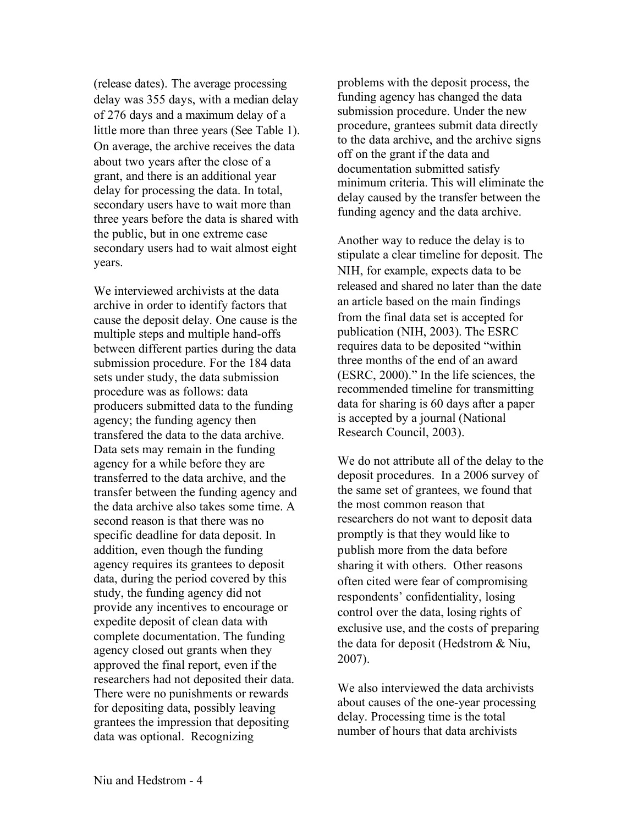(release dates). The average processing delay was 355 days, with a median delay of 276 days and a maximum delay of a little more than three years (See Table 1). On average, the archive receives the data about two years after the close of a grant, and there is an additional year delay for processing the data. In total, secondary users have to wait more than three years before the data is shared with the public, but in one extreme case secondary users had to wait almost eight years.

We interviewed archivists at the data archive in order to identify factors that cause the deposit delay. One cause is the multiple steps and multiple hand-offs between different parties during the data submission procedure. For the 184 data sets under study, the data submission procedure was as follows: data producers submitted data to the funding agency; the funding agency then transfered the data to the data archive. Data sets may remain in the funding agency for a while before they are transferred to the data archive, and the transfer between the funding agency and the data archive also takes some time. A second reason is that there was no specific deadline for data deposit. In addition, even though the funding agency requires its grantees to deposit data, during the period covered by this study, the funding agency did not provide any incentives to encourage or expedite deposit of clean data with complete documentation. The funding agency closed out grants when they approved the final report, even if the researchers had not deposited their data. There were no punishments or rewards for depositing data, possibly leaving grantees the impression that depositing data was optional. Recognizing

problems with the deposit process, the funding agency has changed the data submission procedure. Under the new procedure, grantees submit data directly to the data archive, and the archive signs off on the grant if the data and documentation submitted satisfy minimum criteria. This will eliminate the delay caused by the transfer between the funding agency and the data archive.

Another way to reduce the delay is to stipulate a clear timeline for deposit. The NIH, for example, expects data to be released and shared no later than the date an article based on the main findings from the final data set is accepted for publication (NIH, 2003). The ESRC requires data to be deposited "within three months of the end of an award (ESRC, 2000)." In the life sciences, the recommended timeline for transmitting data for sharing is 60 days after a paper is accepted by a journal (National Research Council, 2003).

We do not attribute all of the delay to the deposit procedures. In a 2006 survey of the same set of grantees, we found that the most common reason that researchers do not want to deposit data promptly is that they would like to publish more from the data before sharing it with others. Other reasons often cited were fear of compromising respondents' confidentiality, losing control over the data, losing rights of exclusive use, and the costs of preparing the data for deposit (Hedstrom & Niu, 2007).

We also interviewed the data archivists about causes of the one-year processing delay. Processing time is the total number of hours that data archivists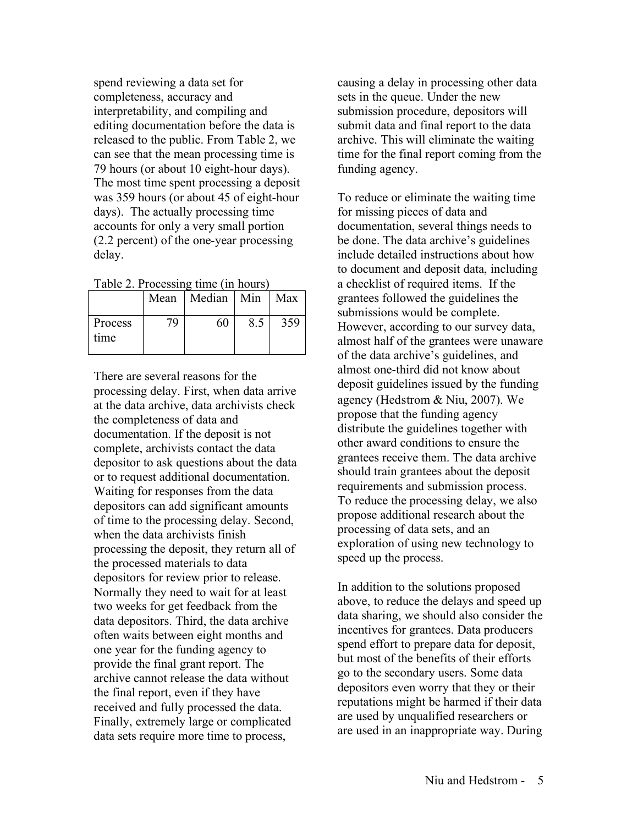spend reviewing a data set for completeness, accuracy and interpretability, and compiling and editing documentation before the data is released to the public. From Table 2, we can see that the mean processing time is 79 hours (or about 10 eight-hour days). The most time spent processing a deposit was 359 hours (or about 45 of eight-hour days). The actually processing time accounts for only a very small portion (2.2 percent) of the one-year processing delay.

Table 2. Processing time (in hours)

|                 | Mean | Median   Min |     | Max |
|-----------------|------|--------------|-----|-----|
| Process<br>time | 70   | 60           | 8.5 | 359 |

There are several reasons for the processing delay. First, when data arrive at the data archive, data archivists check the completeness of data and documentation. If the deposit is not complete, archivists contact the data depositor to ask questions about the data or to request additional documentation. Waiting for responses from the data depositors can add significant amounts of time to the processing delay. Second, when the data archivists finish processing the deposit, they return all of the processed materials to data depositors for review prior to release. Normally they need to wait for at least two weeks for get feedback from the data depositors. Third, the data archive often waits between eight months and one year for the funding agency to provide the final grant report. The archive cannot release the data without the final report, even if they have received and fully processed the data. Finally, extremely large or complicated data sets require more time to process,

causing a delay in processing other data sets in the queue. Under the new submission procedure, depositors will submit data and final report to the data archive. This will eliminate the waiting time for the final report coming from the funding agency.

To reduce or eliminate the waiting time for missing pieces of data and documentation, several things needs to be done. The data archive's guidelines include detailed instructions about how to document and deposit data, including a checklist of required items. If the grantees followed the guidelines the submissions would be complete. However, according to our survey data, almost half of the grantees were unaware of the data archive's guidelines, and almost one-third did not know about deposit guidelines issued by the funding agency (Hedstrom & Niu, 2007). We propose that the funding agency distribute the guidelines together with other award conditions to ensure the grantees receive them. The data archive should train grantees about the deposit requirements and submission process. To reduce the processing delay, we also propose additional research about the processing of data sets, and an exploration of using new technology to speed up the process.

In addition to the solutions proposed above, to reduce the delays and speed up data sharing, we should also consider the incentives for grantees. Data producers spend effort to prepare data for deposit, but most of the benefits of their efforts go to the secondary users. Some data depositors even worry that they or their reputations might be harmed if their data are used by unqualified researchers or are used in an inappropriate way. During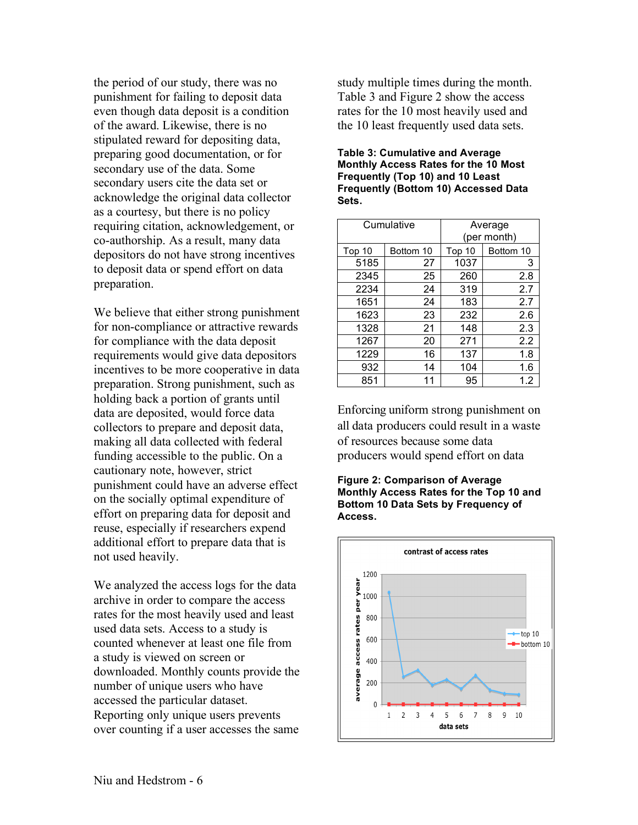the period of our study, there was no punishment for failing to deposit data even though data deposit is a condition of the award. Likewise, there is no stipulated reward for depositing data, preparing good documentation, or for secondary use of the data. Some secondary users cite the data set or acknowledge the original data collector as a courtesy, but there is no policy requiring citation, acknowledgement, or co-authorship. As a result, many data depositors do not have strong incentives to deposit data or spend effort on data preparation.

We believe that either strong punishment for non-compliance or attractive rewards for compliance with the data deposit requirements would give data depositors incentives to be more cooperative in data preparation. Strong punishment, such as holding back a portion of grants until data are deposited, would force data collectors to prepare and deposit data, making all data collected with federal funding accessible to the public. On a cautionary note, however, strict punishment could have an adverse effect on the socially optimal expenditure of effort on preparing data for deposit and reuse, especially if researchers expend additional effort to prepare data that is not used heavily.

We analyzed the access logs for the data archive in order to compare the access rates for the most heavily used and least used data sets. Access to a study is counted whenever at least one file from a study is viewed on screen or downloaded. Monthly counts provide the number of unique users who have accessed the particular dataset. Reporting only unique users prevents over counting if a user accesses the same study multiple times during the month. Table 3 and Figure 2 show the access rates for the 10 most heavily used and the 10 least frequently used data sets.

#### **Table 3: Cumulative and Average Monthly Access Rates for the 10 Most Frequently (Top 10) and 10 Least Frequently (Bottom 10) Accessed Data Sets.**

| Cumulative |           | Average<br>(per month) |           |  |
|------------|-----------|------------------------|-----------|--|
| Top 10     | Bottom 10 | Top 10                 | Bottom 10 |  |
| 5185       | 27        | 1037                   | 3         |  |
| 2345       | 25        | 260                    | 2.8       |  |
| 2234       | 24        | 319                    | 2.7       |  |
| 1651       | 24        | 183                    | 2.7       |  |
| 1623       | 23        | 232                    | 2.6       |  |
| 1328       | 21        | 148                    | 2.3       |  |
| 1267       | 20        | 271                    | 2.2       |  |
| 1229       | 16        | 137                    | 1.8       |  |
| 932        | 14        | 104                    | 1.6       |  |
| 851        | 11        | 95                     | 1.2       |  |

Enforcing uniform strong punishment on all data producers could result in a waste of resources because some data producers would spend effort on data

#### **Figure 2: Comparison of Average Monthly Access Rates for the Top 10 and Bottom 10 Data Sets by Frequency of Access.**

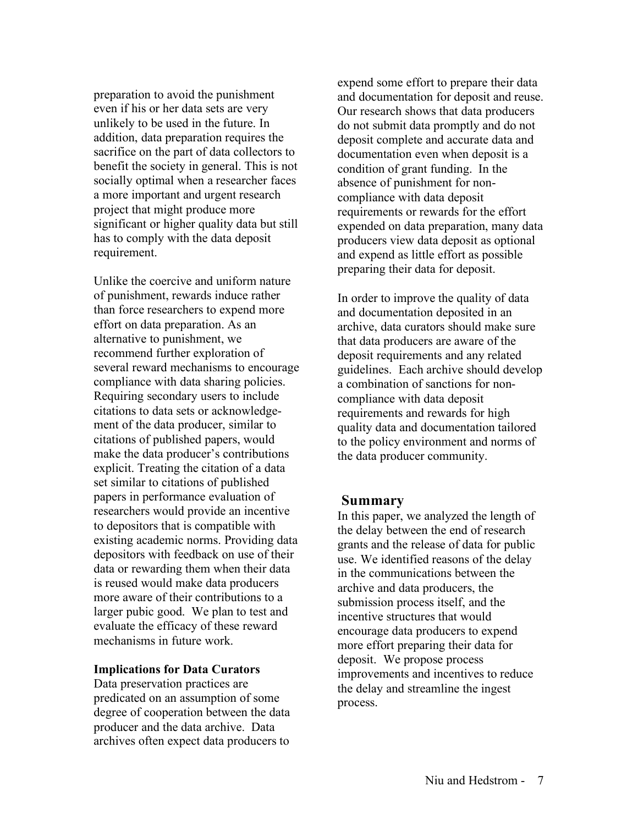preparation to avoid the punishment even if his or her data sets are very unlikely to be used in the future. In addition, data preparation requires the sacrifice on the part of data collectors to benefit the society in general. This is not socially optimal when a researcher faces a more important and urgent research project that might produce more significant or higher quality data but still has to comply with the data deposit requirement.

Unlike the coercive and uniform nature of punishment, rewards induce rather than force researchers to expend more effort on data preparation. As an alternative to punishment, we recommend further exploration of several reward mechanisms to encourage compliance with data sharing policies. Requiring secondary users to include citations to data sets or acknowledgement of the data producer, similar to citations of published papers, would make the data producer's contributions explicit. Treating the citation of a data set similar to citations of published papers in performance evaluation of researchers would provide an incentive to depositors that is compatible with existing academic norms. Providing data depositors with feedback on use of their data or rewarding them when their data is reused would make data producers more aware of their contributions to a larger pubic good. We plan to test and evaluate the efficacy of these reward mechanisms in future work.

### **Implications for Data Curators**

Data preservation practices are predicated on an assumption of some degree of cooperation between the data producer and the data archive. Data archives often expect data producers to

expend some effort to prepare their data and documentation for deposit and reuse. Our research shows that data producers do not submit data promptly and do not deposit complete and accurate data and documentation even when deposit is a condition of grant funding. In the absence of punishment for noncompliance with data deposit requirements or rewards for the effort expended on data preparation, many data producers view data deposit as optional and expend as little effort as possible preparing their data for deposit.

In order to improve the quality of data and documentation deposited in an archive, data curators should make sure that data producers are aware of the deposit requirements and any related guidelines. Each archive should develop a combination of sanctions for noncompliance with data deposit requirements and rewards for high quality data and documentation tailored to the policy environment and norms of the data producer community.

### **Summary**

In this paper, we analyzed the length of the delay between the end of research grants and the release of data for public use. We identified reasons of the delay in the communications between the archive and data producers, the submission process itself, and the incentive structures that would encourage data producers to expend more effort preparing their data for deposit. We propose process improvements and incentives to reduce the delay and streamline the ingest process.